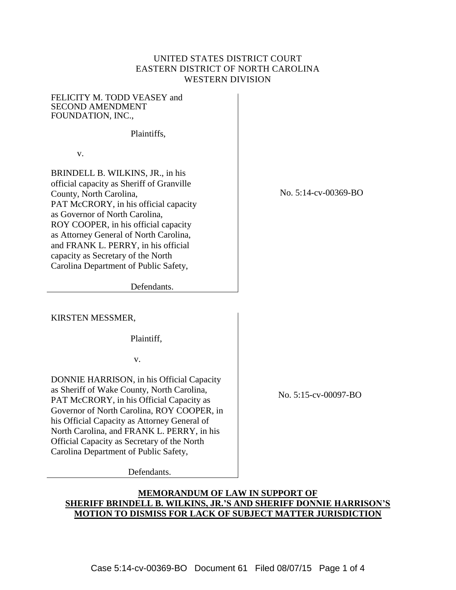## UNITED STATES DISTRICT COURT EASTERN DISTRICT OF NORTH CAROLINA WESTERN DIVISION

FELICITY M. TODD VEASEY and SECOND AMENDMENT FOUNDATION, INC.,

Plaintiffs,

v.

BRINDELL B. WILKINS, JR., in his official capacity as Sheriff of Granville County, North Carolina, PAT McCRORY, in his official capacity as Governor of North Carolina, ROY COOPER, in his official capacity as Attorney General of North Carolina, and FRANK L. PERRY, in his official capacity as Secretary of the North Carolina Department of Public Safety,

No. 5:14-cv-00369-BO

Defendants.

KIRSTEN MESSMER,

Plaintiff,

v.

DONNIE HARRISON, in his Official Capacity as Sheriff of Wake County, North Carolina, PAT McCRORY, in his Official Capacity as Governor of North Carolina, ROY COOPER, in his Official Capacity as Attorney General of North Carolina, and FRANK L. PERRY, in his Official Capacity as Secretary of the North Carolina Department of Public Safety,

Defendants.

No. 5:15-cv-00097-BO

# **MEMORANDUM OF LAW IN SUPPORT OF SHERIFF BRINDELL B. WILKINS, JR.'S AND SHERIFF DONNIE HARRISON'S MOTION TO DISMISS FOR LACK OF SUBJECT MATTER JURISDICTION**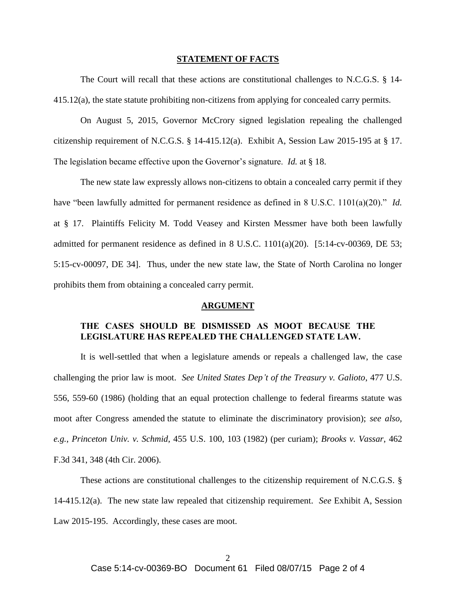#### **STATEMENT OF FACTS**

The Court will recall that these actions are constitutional challenges to N.C.G.S. § 14- 415.12(a), the state statute prohibiting non-citizens from applying for concealed carry permits.

On August 5, 2015, Governor McCrory signed legislation repealing the challenged citizenship requirement of N.C.G.S. § 14-415.12(a). Exhibit A, Session Law 2015-195 at § 17. The legislation became effective upon the Governor's signature. *Id.* at § 18.

The new state law expressly allows non-citizens to obtain a concealed carry permit if they have "been lawfully admitted for permanent residence as defined in 8 U.S.C. 1101(a)(20)." *Id.* at § 17. Plaintiffs Felicity M. Todd Veasey and Kirsten Messmer have both been lawfully admitted for permanent residence as defined in 8 U.S.C.  $1101(a)(20)$ . [5:14-cv-00369, DE 53; 5:15-cv-00097, DE 34]. Thus, under the new state law, the State of North Carolina no longer prohibits them from obtaining a concealed carry permit.

#### **ARGUMENT**

## **THE CASES SHOULD BE DISMISSED AS MOOT BECAUSE THE LEGISLATURE HAS REPEALED THE CHALLENGED STATE LAW.**

It is well-settled that when a legislature amends or repeals a challenged law, the case challenging the prior law is moot. *See United States Dep't of the Treasury v. Galioto*, 477 U.S. 556, 559-60 (1986) (holding that an equal protection challenge to federal firearms statute was moot after Congress amended the statute to eliminate the discriminatory provision); *see also, e.g.*, *Princeton Univ. v. Schmid*, 455 U.S. 100, 103 (1982) (per curiam); *Brooks v. Vassar*, 462 F.3d 341, 348 (4th Cir. 2006).

These actions are constitutional challenges to the citizenship requirement of N.C.G.S. § 14-415.12(a). The new state law repealed that citizenship requirement. *See* Exhibit A, Session Law 2015-195. Accordingly, these cases are moot.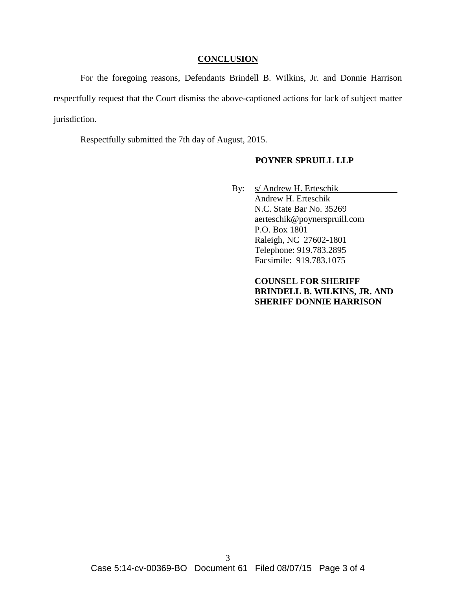### **CONCLUSION**

For the foregoing reasons, Defendants Brindell B. Wilkins, Jr. and Donnie Harrison respectfully request that the Court dismiss the above-captioned actions for lack of subject matter jurisdiction.

Respectfully submitted the 7th day of August, 2015.

### **POYNER SPRUILL LLP**

By: s/ Andrew H. Erteschik Andrew H. Erteschik N.C. State Bar No. 35269 aerteschik@poynerspruill.com P.O. Box 1801 Raleigh, NC 27602-1801 Telephone: 919.783.2895 Facsimile: 919.783.1075

> **COUNSEL FOR SHERIFF BRINDELL B. WILKINS, JR. AND SHERIFF DONNIE HARRISON**